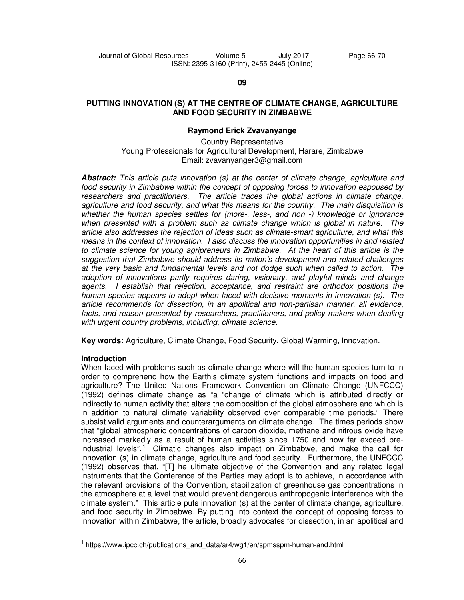**09** 

## **PUTTING INNOVATION (S) AT THE CENTRE OF CLIMATE CHANGE, AGRICULTURE AND FOOD SECURITY IN ZIMBABWE**

# **Raymond Erick Zvavanyange**

Country Representative Young Professionals for Agricultural Development, Harare, Zimbabwe Email: zvavanyanger3@gmail.com

**Abstract:** *This article puts innovation (s) at the center of climate change, agriculture and food security in Zimbabwe within the concept of opposing forces to innovation espoused by researchers and practitioners. The article traces the global actions in climate change, agriculture and food security, and what this means for the country. The main disquisition is whether the human species settles for (more-, less-, and non -) knowledge or ignorance when presented with a problem such as climate change which is global in nature. The article also addresses the rejection of ideas such as climate-smart agriculture, and what this means in the context of innovation. I also discuss the innovation opportunities in and related to climate science for young agripreneurs in Zimbabwe. At the heart of this article is the suggestion that Zimbabwe should address its nation's development and related challenges at the very basic and fundamental levels and not dodge such when called to action. The adoption of innovations partly requires daring, visionary, and playful minds and change agents. I establish that rejection, acceptance, and restraint are orthodox positions the human species appears to adopt when faced with decisive moments in innovation (s). The article recommends for dissection, in an apolitical and non-partisan manner, all evidence,*  facts, and reason presented by researchers, practitioners, and policy makers when dealing *with urgent country problems, including, climate science.* 

**Key words:** Agriculture, Climate Change, Food Security, Global Warming, Innovation.

# **Introduction**

l,

When faced with problems such as climate change where will the human species turn to in order to comprehend how the Earth's climate system functions and impacts on food and agriculture? The United Nations Framework Convention on Climate Change (UNFCCC) (1992) defines climate change as "a "change of climate which is attributed directly or indirectly to human activity that alters the composition of the global atmosphere and which is in addition to natural climate variability observed over comparable time periods." There subsist valid arguments and counterarguments on climate change. The times periods show that "global atmospheric concentrations of carbon dioxide, methane and nitrous oxide have increased markedly as a result of human activities since 1750 and now far exceed preindustrial levels".<sup>1</sup> Climatic changes also impact on Zimbabwe, and make the call for innovation (s) in climate change, agriculture and food security. Furthermore, the UNFCCC (1992) observes that, "[T] he ultimate objective of the Convention and any related legal instruments that the Conference of the Parties may adopt is to achieve, in accordance with the relevant provisions of the Convention, stabilization of greenhouse gas concentrations in the atmosphere at a level that would prevent dangerous anthropogenic interference with the climate system." This article puts innovation (s) at the center of climate change, agriculture, and food security in Zimbabwe. By putting into context the concept of opposing forces to innovation within Zimbabwe, the article, broadly advocates for dissection, in an apolitical and

<sup>&</sup>lt;sup>1</sup> https://www.ipcc.ch/publications\_and\_data/ar4/wg1/en/spmsspm-human-and.html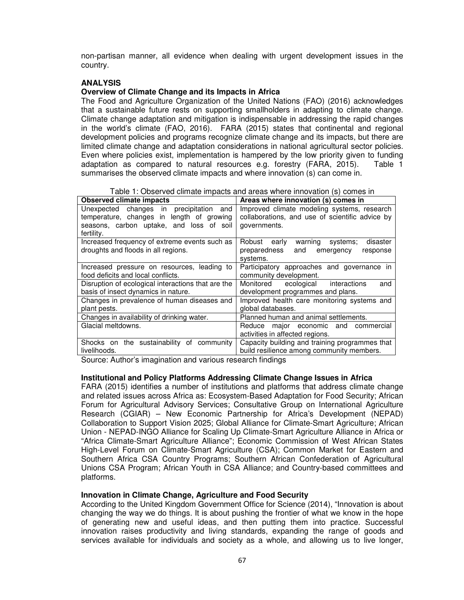non-partisan manner, all evidence when dealing with urgent development issues in the country.

# **ANALYSIS**

### **Overview of Climate Change and its Impacts in Africa**

The Food and Agriculture Organization of the United Nations (FAO) (2016) acknowledges that a sustainable future rests on supporting smallholders in adapting to climate change. Climate change adaptation and mitigation is indispensable in addressing the rapid changes in the world's climate (FAO, 2016). FARA (2015) states that continental and regional development policies and programs recognize climate change and its impacts, but there are limited climate change and adaptation considerations in national agricultural sector policies. Even where policies exist, implementation is hampered by the low priority given to funding adaptation as compared to natural resources e.g. forestry (FARA, 2015). Table 1 summarises the observed climate impacts and where innovation (s) can come in.

Table 1: Observed climate impacts and areas where innovation (s) comes in

| <b>Observed climate impacts</b>                    | Areas where innovation (s) comes in             |  |
|----------------------------------------------------|-------------------------------------------------|--|
| Unexpected changes in precipitation and            | Improved climate modeling systems, research     |  |
| temperature, changes in length of growing          | collaborations, and use of scientific advice by |  |
| seasons, carbon uptake, and loss of soil           | governments.                                    |  |
| fertility.                                         |                                                 |  |
| Increased frequency of extreme events such as      | Robust early<br>disaster<br>warning<br>systems: |  |
| droughts and floods in all regions.                | preparedness<br>and<br>emergency<br>response    |  |
|                                                    | systems.                                        |  |
| Increased pressure on resources, leading to        | Participatory approaches and governance in      |  |
| food deficits and local conflicts.                 | community development.                          |  |
| Disruption of ecological interactions that are the | Monitored ecological interactions<br>and        |  |
| basis of insect dynamics in nature.                | development programmes and plans.               |  |
| Changes in prevalence of human diseases and        | Improved health care monitoring systems and     |  |
| plant pests.                                       | global databases.                               |  |
| Changes in availability of drinking water.         | Planned human and animal settlements.           |  |
| Glacial meltdowns.                                 | major economic and<br>Reduce<br>commercial      |  |
|                                                    | activities in affected regions.                 |  |
| the sustainability of community<br>Shocks on       | Capacity building and training programmes that  |  |
| livelihoods.                                       | build resilience among community members.       |  |

Source: Author's imagination and various research findings

#### **Institutional and Policy Platforms Addressing Climate Change Issues in Africa**

FARA (2015) identifies a number of institutions and platforms that address climate change and related issues across Africa as: Ecosystem-Based Adaptation for Food Security; African Forum for Agricultural Advisory Services; Consultative Group on International Agriculture Research (CGIAR) – New Economic Partnership for Africa's Development (NEPAD) Collaboration to Support Vision 2025; Global Alliance for Climate-Smart Agriculture; African Union - NEPAD-INGO Alliance for Scaling Up Climate-Smart Agriculture Alliance in Africa or "Africa Climate-Smart Agriculture Alliance"; Economic Commission of West African States High-Level Forum on Climate-Smart Agriculture (CSA); Common Market for Eastern and Southern Africa CSA Country Programs; Southern African Confederation of Agricultural Unions CSA Program; African Youth in CSA Alliance; and Country-based committees and platforms.

#### **Innovation in Climate Change, Agriculture and Food Security**

According to the United Kingdom Government Office for Science (2014), "Innovation is about changing the way we do things. It is about pushing the frontier of what we know in the hope of generating new and useful ideas, and then putting them into practice. Successful innovation raises productivity and living standards, expanding the range of goods and services available for individuals and society as a whole, and allowing us to live longer,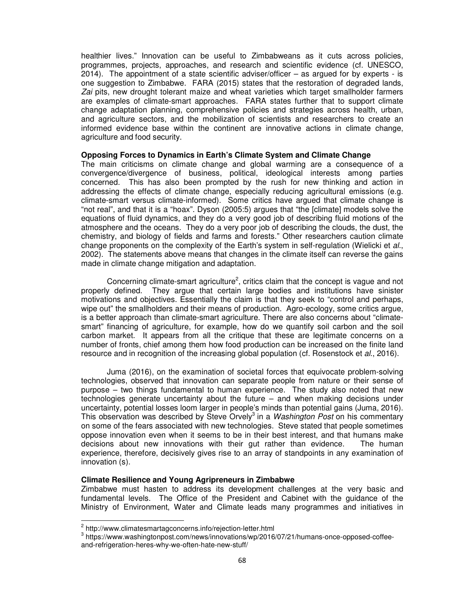healthier lives." Innovation can be useful to Zimbabweans as it cuts across policies, programmes, projects, approaches, and research and scientific evidence (cf. UNESCO, 2014). The appointment of a state scientific adviser/officer – as argued for by experts - is one suggestion to Zimbabwe. FARA (2015) states that the restoration of degraded lands, Zai pits, new drought tolerant maize and wheat varieties which target smallholder farmers are examples of climate-smart approaches. FARA states further that to support climate change adaptation planning, comprehensive policies and strategies across health, urban, and agriculture sectors, and the mobilization of scientists and researchers to create an informed evidence base within the continent are innovative actions in climate change, agriculture and food security.

### **Opposing Forces to Dynamics in Earth's Climate System and Climate Change**

The main criticisms on climate change and global warming are a consequence of a convergence/divergence of business, political, ideological interests among parties concerned. This has also been prompted by the rush for new thinking and action in addressing the effects of climate change, especially reducing agricultural emissions (e.g. climate-smart versus climate-informed). Some critics have argued that climate change is "not real", and that it is a "hoax". Dyson (2005:5) argues that "the [climate] models solve the equations of fluid dynamics, and they do a very good job of describing fluid motions of the atmosphere and the oceans. They do a very poor job of describing the clouds, the dust, the chemistry, and biology of fields and farms and forests." Other researchers caution climate change proponents on the complexity of the Earth's system in self-regulation (Wielicki et *al*., 2002). The statements above means that changes in the climate itself can reverse the gains made in climate change mitigation and adaptation.

Concerning climate-smart agriculture<sup>2</sup>, critics claim that the concept is vague and not properly defined. They argue that certain large bodies and institutions have sinister motivations and objectives. Essentially the claim is that they seek to "control and perhaps, wipe out" the smallholders and their means of production. Agro-ecology, some critics argue, is a better approach than climate-smart agriculture. There are also concerns about "climatesmart" financing of agriculture, for example, how do we quantify soil carbon and the soil carbon market. It appears from all the critique that these are legitimate concerns on a number of fronts, chief among them how food production can be increased on the finite land resource and in recognition of the increasing global population (cf. Rosenstock et *al*., 2016).

Juma (2016), on the examination of societal forces that equivocate problem-solving technologies, observed that innovation can separate people from nature or their sense of purpose – two things fundamental to human experience. The study also noted that new technologies generate uncertainty about the future – and when making decisions under uncertainty, potential losses loom larger in people's minds than potential gains (Juma, 2016). This observation was described by Steve Orvely<sup>3</sup> in a *Washington Post* on his commentary on some of the fears associated with new technologies. Steve stated that people sometimes oppose innovation even when it seems to be in their best interest, and that humans make decisions about new innovations with their gut rather than evidence. The human experience, therefore, decisively gives rise to an array of standpoints in any examination of innovation (s).

#### **Climate Resilience and Young Agripreneurs in Zimbabwe**

Zimbabwe must hasten to address its development challenges at the very basic and fundamental levels. The Office of the President and Cabinet with the guidance of the Ministry of Environment, Water and Climate leads many programmes and initiatives in

 $\overline{a}$ 

<sup>&</sup>lt;sup>2</sup> http://www.climatesmartagconcerns.info/rejection-letter.html

<sup>&</sup>lt;sup>3</sup> https://www.washingtonpost.com/news/innovations/wp/2016/07/21/humans-once-opposed-coffeeand-refrigeration-heres-why-we-often-hate-new-stuff/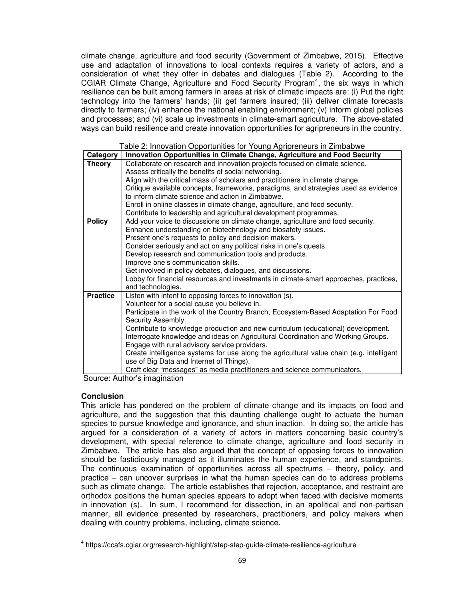climate change, agriculture and food security (Government of Zimbabwe, 2015). Effective use and adaptation of innovations to local contexts requires a variety of actors, and a consideration of what they offer in debates and dialogues (Table 2). According to the CGIAR Climate Change, Agriculture and Food Security Program<sup>4</sup>, the six ways in which resilience can be built among farmers in areas at risk of climatic impacts are: (i) Put the right technology into the farmers' hands; (ii) get farmers insured; (iii) deliver climate forecasts directly to farmers; (iv) enhance the national enabling environment; (v) inform global policies and processes; and (vi) scale up investments in climate-smart agriculture. The above-stated ways can build resilience and create innovation opportunities for agripreneurs in the country.

|                 | Table 2: Innovation Opportunities for Young Agripreneurs in Zimbabwe                                       |
|-----------------|------------------------------------------------------------------------------------------------------------|
| Category        | Innovation Opportunities in Climate Change, Agriculture and Food Security                                  |
| <b>Theory</b>   | Collaborate on research and innovation projects focused on climate science.                                |
|                 | Assess critically the benefits of social networking.                                                       |
|                 | Align with the critical mass of scholars and practitioners in climate change.                              |
|                 | Critique available concepts, frameworks, paradigms, and strategies used as evidence                        |
|                 | to inform climate science and action in Zimbabwe.                                                          |
|                 | Enroll in online classes in climate change, agriculture, and food security.                                |
|                 | Contribute to leadership and agricultural development programmes.                                          |
| <b>Policy</b>   | Add your voice to discussions on climate change, agriculture and food security.                            |
|                 | Enhance understanding on biotechnology and biosafety issues.                                               |
|                 | Present one's requests to policy and decision makers.                                                      |
|                 | Consider seriously and act on any political risks in one's quests.                                         |
|                 | Develop research and communication tools and products.                                                     |
|                 | Improve one's communication skills.                                                                        |
|                 | Get involved in policy debates, dialogues, and discussions.                                                |
|                 | Lobby for financial resources and investments in climate-smart approaches, practices,<br>and technologies. |
| <b>Practice</b> | Listen with intent to opposing forces to innovation (s).                                                   |
|                 | Volunteer for a social cause you believe in.                                                               |
|                 | Participate in the work of the Country Branch, Ecosystem-Based Adaptation For Food                         |
|                 | Security Assembly.                                                                                         |
|                 | Contribute to knowledge production and new curriculum (educational) development.                           |
|                 | Interrogate knowledge and ideas on Agricultural Coordination and Working Groups.                           |
|                 | Engage with rural advisory service providers.                                                              |
|                 | Create intelligence systems for use along the agricultural value chain (e.g. intelligent                   |
|                 | use of Big Data and Internet of Things).                                                                   |
|                 | Craft clear "messages" as media practitioners and science communicators.                                   |

Table 2: Innovation Opportunities for Young Agripreneurs in Zimbabwe

Source: Author's imagination

#### **Conclusion**

l,

This article has pondered on the problem of climate change and its impacts on food and agriculture, and the suggestion that this daunting challenge ought to actuate the human species to pursue knowledge and ignorance, and shun inaction. In doing so, the article has argued for a consideration of a variety of actors in matters concerning basic country's development, with special reference to climate change, agriculture and food security in Zimbabwe. The article has also argued that the concept of opposing forces to innovation should be fastidiously managed as it illuminates the human experience, and standpoints. The continuous examination of opportunities across all spectrums – theory, policy, and practice – can uncover surprises in what the human species can do to address problems such as climate change. The article establishes that rejection, acceptance, and restraint are orthodox positions the human species appears to adopt when faced with decisive moments in innovation (s). In sum, I recommend for dissection, in an apolitical and non-partisan manner, all evidence presented by researchers, practitioners, and policy makers when dealing with country problems, including, climate science.

<sup>&</sup>lt;sup>4</sup> https://ccafs.cgiar.org/research-highlight/step-step-guide-climate-resilience-agriculture